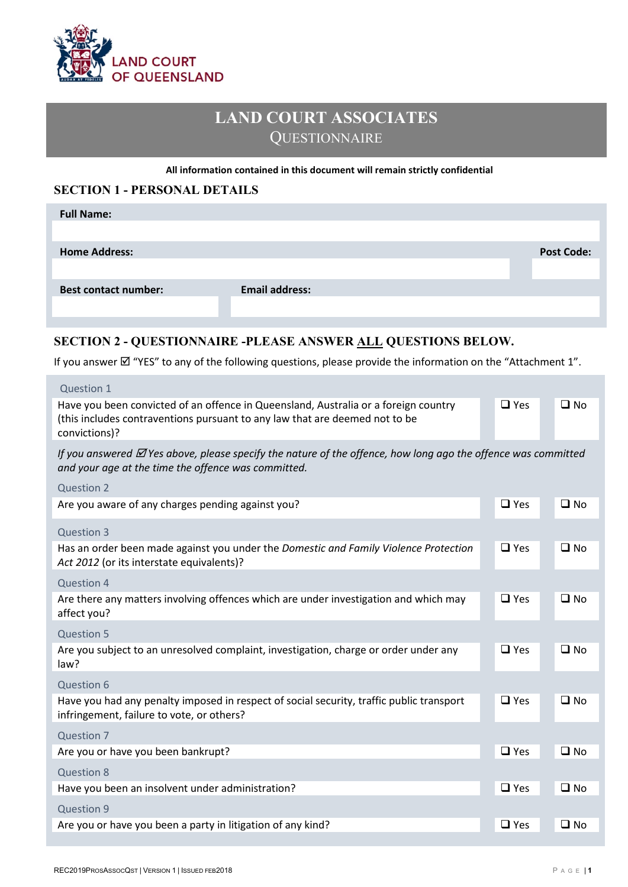

# **LAND COURT ASSOCIATES QUESTIONNAIRE**

#### **All information contained in this document will remain strictly confidential**

#### **SECTION 1 - PERSONAL DETAILS**

| <b>Full Name:</b>           |                       |                   |
|-----------------------------|-----------------------|-------------------|
|                             |                       |                   |
| <b>Home Address:</b>        |                       | <b>Post Code:</b> |
|                             |                       |                   |
| <b>Best contact number:</b> | <b>Email address:</b> |                   |
|                             |                       |                   |

## **SECTION 2 - QUESTIONNAIRE -PLEASE ANSWER ALL QUESTIONS BELOW.**

If you answer  $\boxtimes$  "YES" to any of the following questions, please provide the information on the "Attachment 1".

| Question 1                                                                                                                                                                          |            |              |
|-------------------------------------------------------------------------------------------------------------------------------------------------------------------------------------|------------|--------------|
| Have you been convicted of an offence in Queensland, Australia or a foreign country<br>(this includes contraventions pursuant to any law that are deemed not to be<br>convictions)? | $\Box$ Yes | $\square$ No |
| If you answered $\Box$ Yes above, please specify the nature of the offence, how long ago the offence was committed<br>and your age at the time the offence was committed.           |            |              |
| <b>Question 2</b>                                                                                                                                                                   |            |              |
| Are you aware of any charges pending against you?                                                                                                                                   | $\Box$ Yes | $\square$ No |
| Question 3                                                                                                                                                                          |            |              |
| Has an order been made against you under the Domestic and Family Violence Protection<br>Act 2012 (or its interstate equivalents)?                                                   | $\Box$ Yes | $\square$ No |
| Question 4                                                                                                                                                                          |            |              |
| Are there any matters involving offences which are under investigation and which may<br>affect you?                                                                                 | $\Box$ Yes | $\square$ No |
| <b>Question 5</b>                                                                                                                                                                   |            |              |
| Are you subject to an unresolved complaint, investigation, charge or order under any<br>law?                                                                                        | $\Box$ Yes | $\square$ No |
| Question 6                                                                                                                                                                          |            |              |
| Have you had any penalty imposed in respect of social security, traffic public transport<br>infringement, failure to vote, or others?                                               | $\Box$ Yes | $\square$ No |
| Question 7                                                                                                                                                                          |            |              |
| Are you or have you been bankrupt?                                                                                                                                                  | $\Box$ Yes | $\square$ No |
| <b>Question 8</b>                                                                                                                                                                   |            |              |
| Have you been an insolvent under administration?                                                                                                                                    | $\Box$ Yes | $\square$ No |
| Question 9                                                                                                                                                                          |            |              |
| Are you or have you been a party in litigation of any kind?                                                                                                                         | $\Box$ Yes | $\square$ No |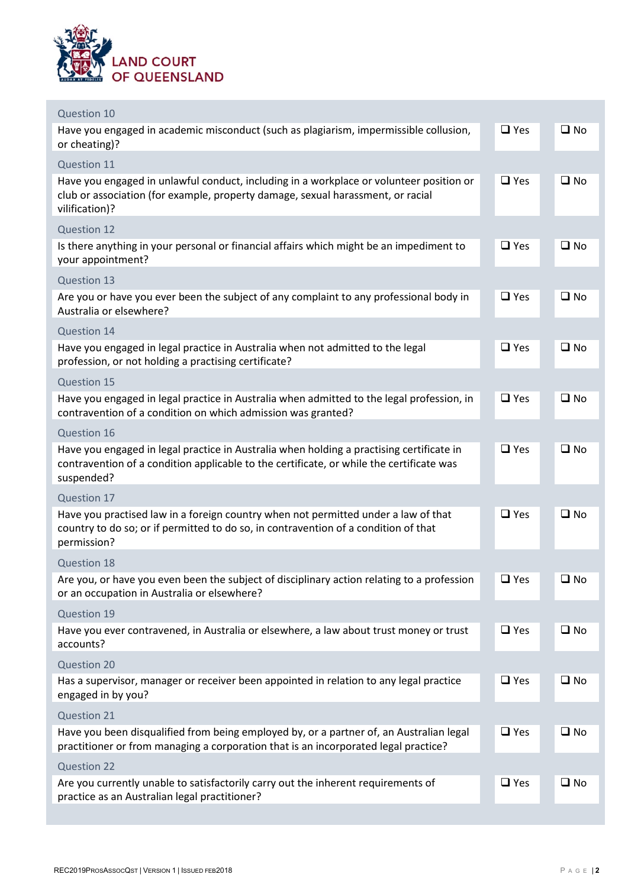

| Question 10                                                                                                                                                                                        |            |              |
|----------------------------------------------------------------------------------------------------------------------------------------------------------------------------------------------------|------------|--------------|
| Have you engaged in academic misconduct (such as plagiarism, impermissible collusion,<br>or cheating)?                                                                                             | $\Box$ Yes | $\square$ No |
| Question 11                                                                                                                                                                                        |            |              |
| Have you engaged in unlawful conduct, including in a workplace or volunteer position or<br>club or association (for example, property damage, sexual harassment, or racial<br>vilification)?       | $\Box$ Yes | $\square$ No |
| Question 12                                                                                                                                                                                        |            |              |
| Is there anything in your personal or financial affairs which might be an impediment to<br>your appointment?                                                                                       | $\Box$ Yes | $\square$ No |
| Question 13                                                                                                                                                                                        |            |              |
| Are you or have you ever been the subject of any complaint to any professional body in<br>Australia or elsewhere?                                                                                  | $\Box$ Yes | $\square$ No |
| Question 14                                                                                                                                                                                        |            |              |
| Have you engaged in legal practice in Australia when not admitted to the legal<br>profession, or not holding a practising certificate?                                                             | $\Box$ Yes | $\square$ No |
| Question 15                                                                                                                                                                                        |            |              |
| Have you engaged in legal practice in Australia when admitted to the legal profession, in<br>contravention of a condition on which admission was granted?                                          | $\Box$ Yes | $\square$ No |
| Question 16                                                                                                                                                                                        |            |              |
| Have you engaged in legal practice in Australia when holding a practising certificate in<br>contravention of a condition applicable to the certificate, or while the certificate was<br>suspended? | $\Box$ Yes | $\square$ No |
| Question 17                                                                                                                                                                                        |            |              |
| Have you practised law in a foreign country when not permitted under a law of that<br>country to do so; or if permitted to do so, in contravention of a condition of that<br>permission?           | $\Box$ Yes | $\square$ No |
| <b>Question 18</b>                                                                                                                                                                                 |            |              |
| Are you, or have you even been the subject of disciplinary action relating to a profession<br>or an occupation in Australia or elsewhere?                                                          | $\Box$ Yes | $\square$ No |
| Question 19                                                                                                                                                                                        |            |              |
| Have you ever contravened, in Australia or elsewhere, a law about trust money or trust<br>accounts?                                                                                                | $\Box$ Yes | $\square$ No |
| Question 20                                                                                                                                                                                        |            |              |
| Has a supervisor, manager or receiver been appointed in relation to any legal practice<br>engaged in by you?                                                                                       | $\Box$ Yes | $\square$ No |
| Question 21                                                                                                                                                                                        |            |              |
| Have you been disqualified from being employed by, or a partner of, an Australian legal<br>practitioner or from managing a corporation that is an incorporated legal practice?                     | $\Box$ Yes | $\square$ No |
| <b>Question 22</b>                                                                                                                                                                                 |            |              |
| Are you currently unable to satisfactorily carry out the inherent requirements of<br>practice as an Australian legal practitioner?                                                                 | $\Box$ Yes | $\square$ No |
|                                                                                                                                                                                                    |            |              |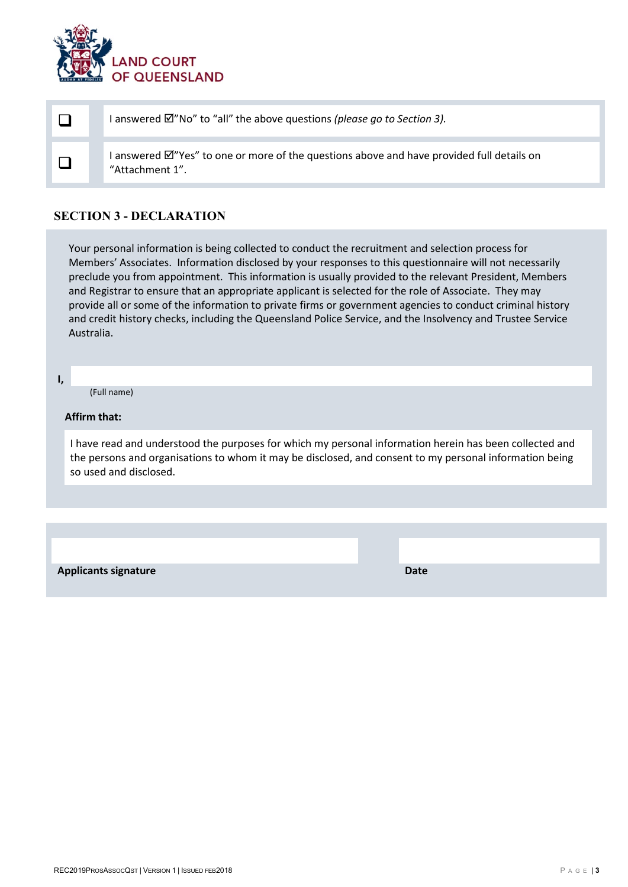

|  | I answered $\boxtimes$ "No" to "all" the above questions (please go to Section 3).                                       |
|--|--------------------------------------------------------------------------------------------------------------------------|
|  | I answered $\mathbb{Z}$ "Yes" to one or more of the questions above and have provided full details on<br>"Attachment 1". |

### **SECTION 3 - DECLARATION**

Your personal information is being collected to conduct the recruitment and selection process for Members' Associates. Information disclosed by your responses to this questionnaire will not necessarily preclude you from appointment. This information is usually provided to the relevant President, Members and Registrar to ensure that an appropriate applicant is selected for the role of Associate. They may provide all or some of the information to private firms or government agencies to conduct criminal history and credit history checks, including the Queensland Police Service, and the Insolvency and Trustee Service Australia.

**I,**

(Full name)

#### **Affirm that:**

I have read and understood the purposes for which my personal information herein has been collected and the persons and organisations to whom it may be disclosed, and consent to my personal information being so used and disclosed.

**Applicants signature Date**